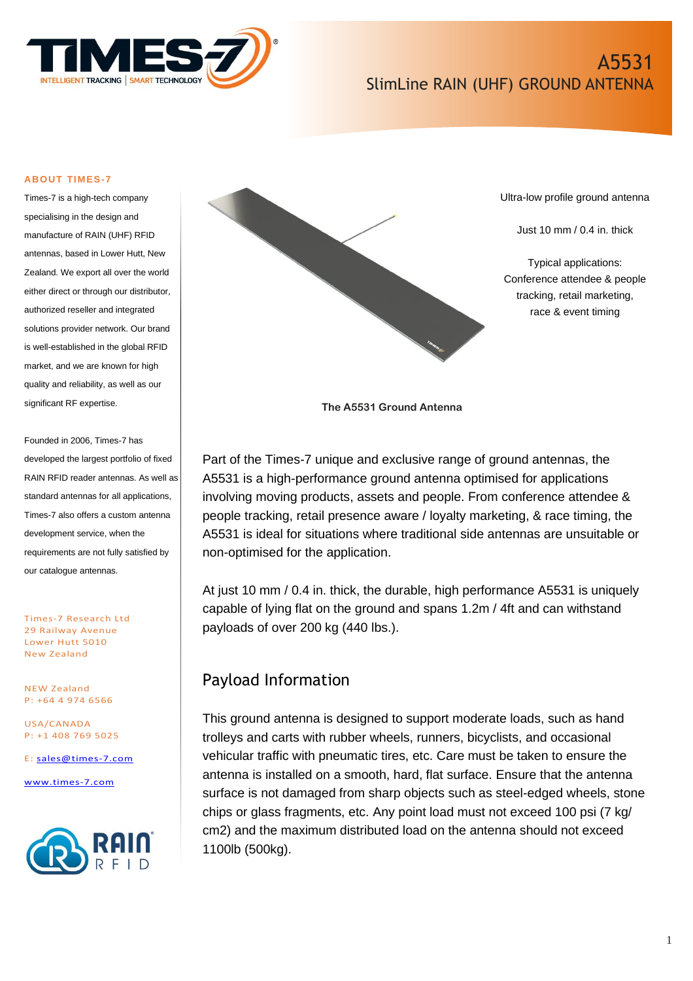

# A5531 SlimLine RAIN (UHF) GROUND ANTENNA

#### **ABOUT TIMES-7**

Times-7 is a high-tech company specialising in the design and manufacture of RAIN (UHF) RFID antennas, based in Lower Hutt, New Zealand. We export all over the world either direct or through our distributor, authorized reseller and integrated solutions provider network. Our brand is well-established in the global RFID market, and we are known for high quality and reliability, as well as our significant RF expertise.

Founded in 2006, Times-7 has developed the largest portfolio of fixed RAIN RFID reader antennas. As well as standard antennas for all applications, Times-7 also offers a custom antenna development service, when the requirements are not fully satisfied by our catalogue antennas.

Times-7 Research Ltd 29 Railway Avenue Lower Hutt 5010 New Zealand

NEW Zealand P: +64 4 974 6566

USA/CANADA P: +1 408 769 5025

E: [sales@times-7.com](mailto:sales@times-7.com)

[www.times-7.com](http://www.times-7.com/)





Ultra-low profile ground antenna

Just 10 mm / 0.4 in. thick

Typical applications: Conference attendee & people tracking, retail marketing, race & event timing

**The A5531 Ground Antenna**

Part of the Times-7 unique and exclusive range of ground antennas, the A5531 is a high-performance ground antenna optimised for applications involving moving products, assets and people. From conference attendee & people tracking, retail presence aware / loyalty marketing, & race timing, the A5531 is ideal for situations where traditional side antennas are unsuitable or non-optimised for the application.

At just 10 mm / 0.4 in. thick, the durable, high performance A5531 is uniquely capable of lying flat on the ground and spans 1.2m / 4ft and can withstand payloads of over 200 kg (440 lbs.).

## Payload Information

This ground antenna is designed to support moderate loads, such as hand trolleys and carts with rubber wheels, runners, bicyclists, and occasional vehicular traffic with pneumatic tires, etc. Care must be taken to ensure the antenna is installed on a smooth, hard, flat surface. Ensure that the antenna surface is not damaged from sharp objects such as steel-edged wheels, stone chips or glass fragments, etc. Any point load must not exceed 100 psi (7 kg/ cm2) and the maximum distributed load on the antenna should not exceed 1100lb (500kg).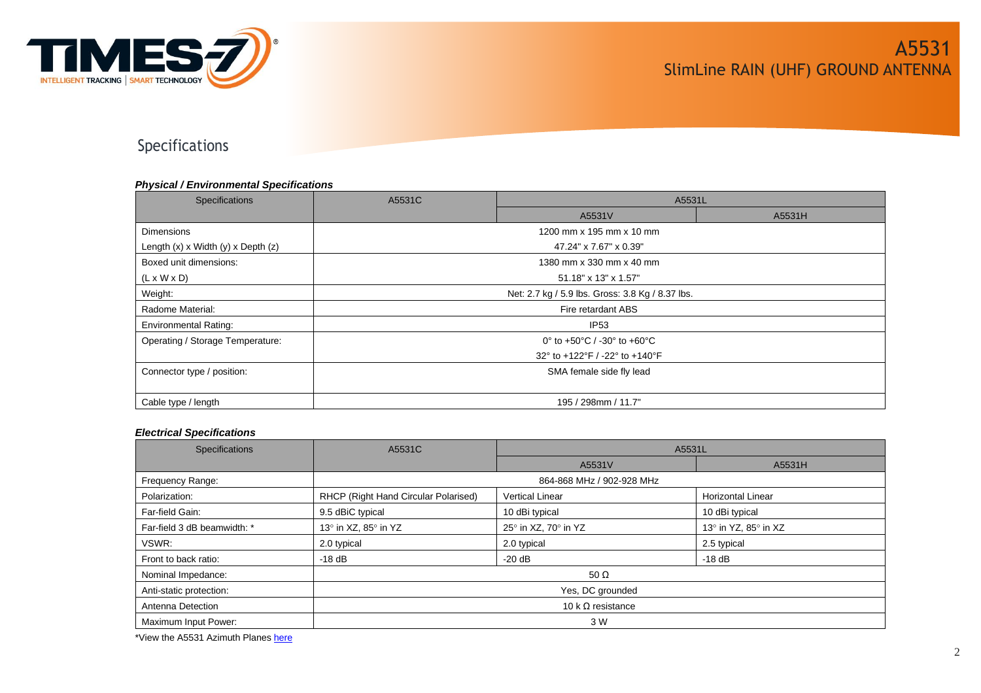

Specifications

#### *Physical / Environmental Specifications*

| Specifications                           | A5531C                                           | A5531L                         |        |  |
|------------------------------------------|--------------------------------------------------|--------------------------------|--------|--|
|                                          |                                                  | A5531V                         | A5531H |  |
| <b>Dimensions</b>                        | 1200 mm x 195 mm x 10 mm                         |                                |        |  |
| Length $(x)$ x Width $(y)$ x Depth $(z)$ | 47.24" x 7.67" x 0.39"                           |                                |        |  |
| Boxed unit dimensions:                   | 1380 mm x 330 mm x 40 mm                         |                                |        |  |
| $(L \times W \times D)$                  | 51.18" x 13" x 1.57"                             |                                |        |  |
| Weight:                                  | Net: 2.7 kg / 5.9 lbs. Gross: 3.8 Kg / 8.37 lbs. |                                |        |  |
| Radome Material:                         | Fire retardant ABS                               |                                |        |  |
| <b>Environmental Rating:</b>             | IP <sub>53</sub>                                 |                                |        |  |
| Operating / Storage Temperature:         |                                                  | 0° to +50°C / -30° to +60°C    |        |  |
|                                          |                                                  | 32° to +122°F / -22° to +140°F |        |  |
| Connector type / position:               | SMA female side fly lead                         |                                |        |  |
|                                          |                                                  |                                |        |  |
| Cable type / length                      | 195 / 298mm / 11.7"                              |                                |        |  |

#### *Electrical Specifications*

| <b>Specifications</b>       | A5531C                               | A5531L                 |                          |
|-----------------------------|--------------------------------------|------------------------|--------------------------|
|                             |                                      | A5531V                 | A5531H                   |
| Frequency Range:            | 864-868 MHz / 902-928 MHz            |                        |                          |
| Polarization:               | RHCP (Right Hand Circular Polarised) | <b>Vertical Linear</b> | <b>Horizontal Linear</b> |
| Far-field Gain:             | 9.5 dBiC typical                     | 10 dBi typical         | 10 dBi typical           |
| Far-field 3 dB beamwidth: * | 13° in XZ, 85° in YZ                 | 25° in XZ, 70° in YZ   | 13° in YZ, 85° in XZ     |
| VSWR:                       | 2.0 typical                          | 2.0 typical            | 2.5 typical              |
| Front to back ratio:        | $-18$ dB                             | $-20dB$                | -18 dB                   |
| Nominal Impedance:          | 50 $\Omega$                          |                        |                          |
| Anti-static protection:     | Yes, DC grounded                     |                        |                          |
| Antenna Detection           | 10 k $\Omega$ resistance             |                        |                          |
| Maximum Input Power:        | 3 W                                  |                        |                          |

\*View the A5531 Azimuth Planes [here](#page-5-0)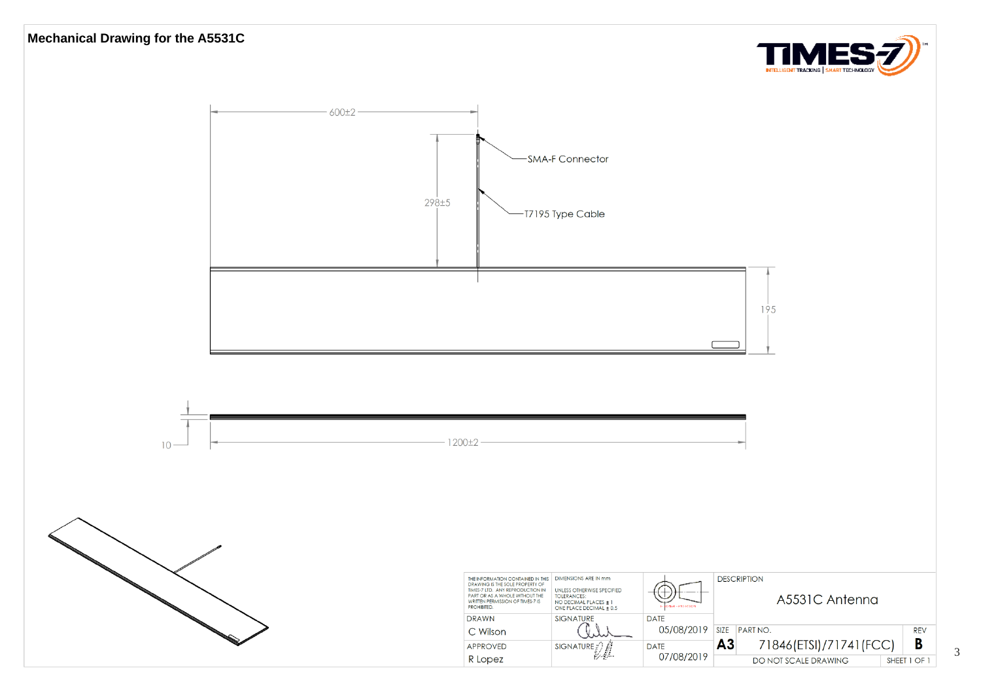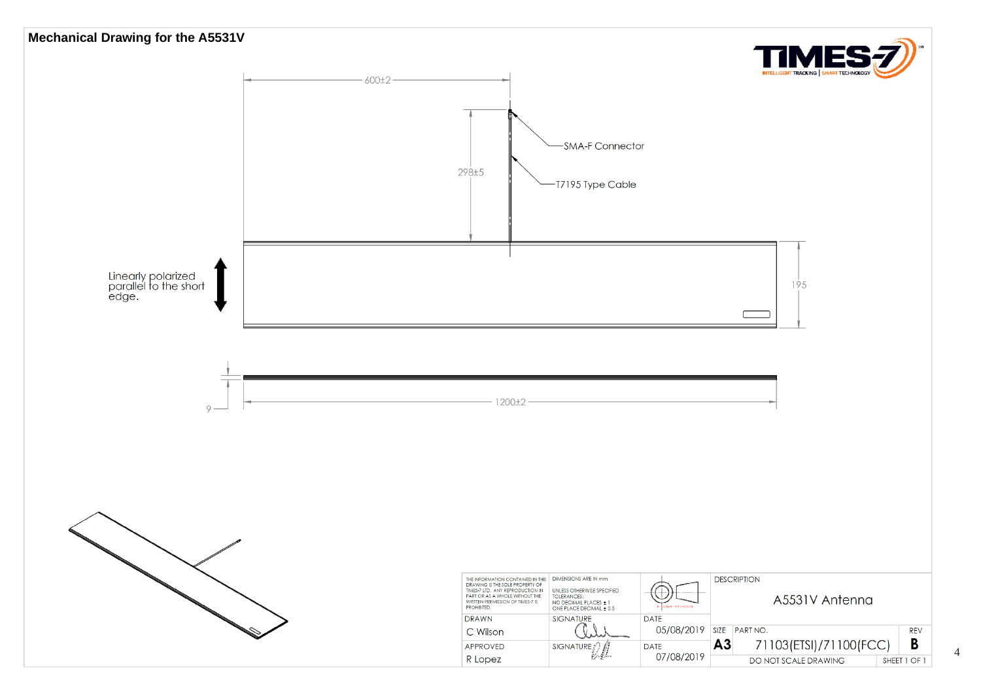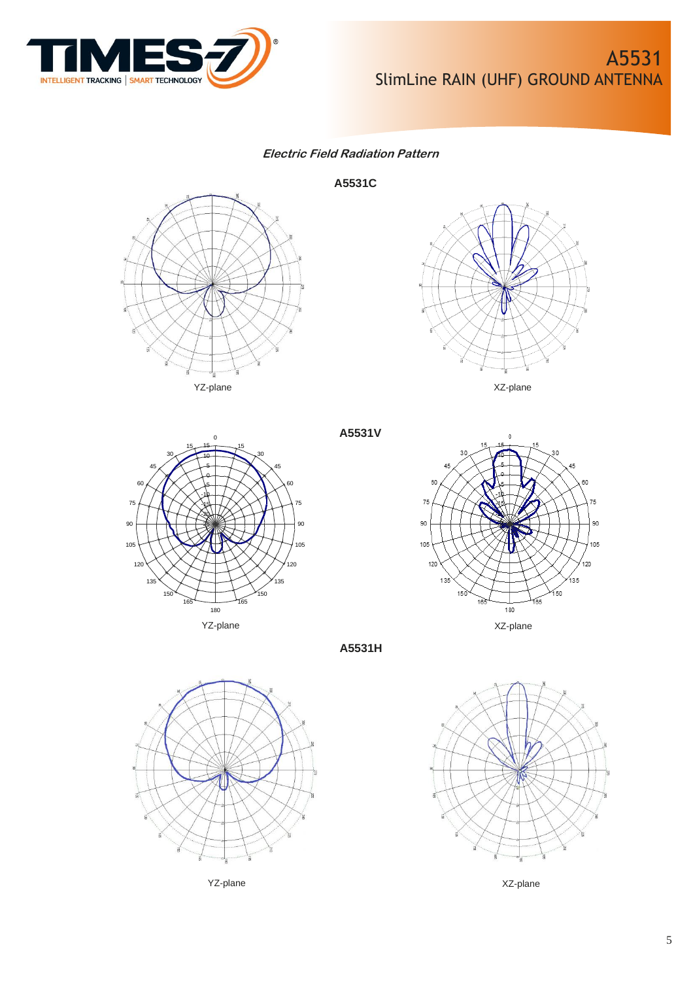

### **Electric Field Radiation Pattern**

**A5531C**









**A5531H**

**A5531V**





YZ-plane XZ-plane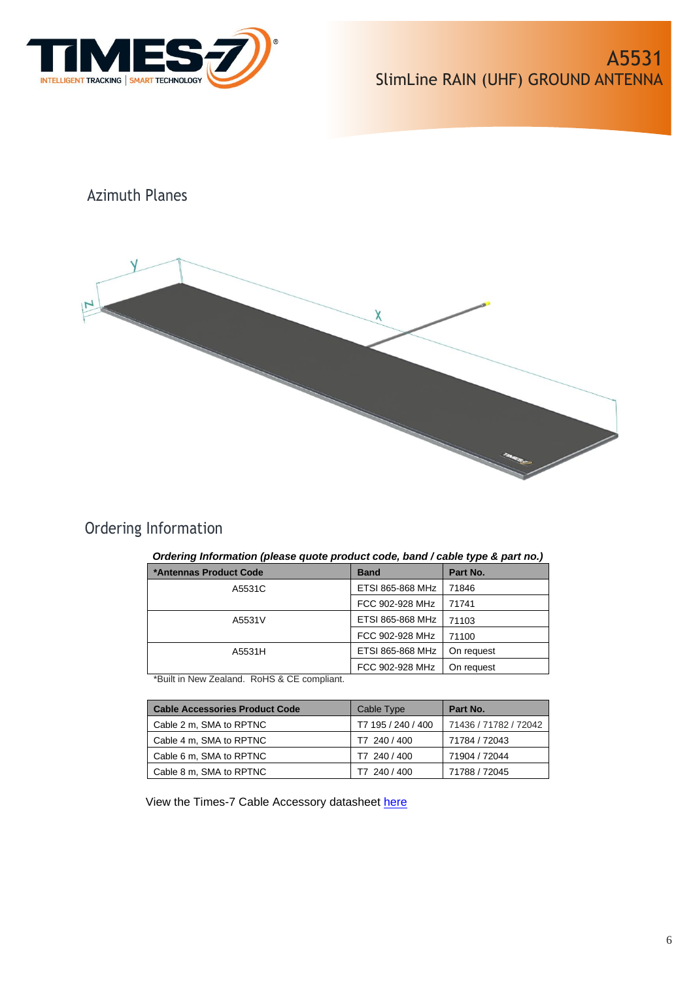<span id="page-5-0"></span>

# Azimuth Planes



# Ordering Information

### *Ordering Information (please quote product code, band / cable type & part no.)*

| *Antennas Product Code | <b>Band</b>      | Part No.   |
|------------------------|------------------|------------|
| A5531C                 | ETSI 865-868 MHz | 71846      |
|                        | FCC 902-928 MHz  | 71741      |
| A5531V                 | ETSI 865-868 MHz | 71103      |
|                        | FCC 902-928 MHz  | 71100      |
| A5531H                 | ETSI 865-868 MHz | On request |
|                        | FCC 902-928 MHz  | On request |

\*Built in New Zealand. RoHS & CE compliant.

| <b>Cable Accessories Product Code</b> | Cable Type         | Part No.              |
|---------------------------------------|--------------------|-----------------------|
| Cable 2 m, SMA to RPTNC               | T7 195 / 240 / 400 | 71436 / 71782 / 72042 |
| Cable 4 m, SMA to RPTNC               | T7 240 / 400       | 71784 / 72043         |
| Cable 6 m, SMA to RPTNC               | T7 240 / 400       | 71904 / 72044         |
| Cable 8 m, SMA to RPTNC               | T7 240 / 400       | 71788 / 72045         |

View the Times-7 Cable Accessory datasheet [here](https://www.times-7.com/Cable%20Datasheet_v1.1_A4.pdf)